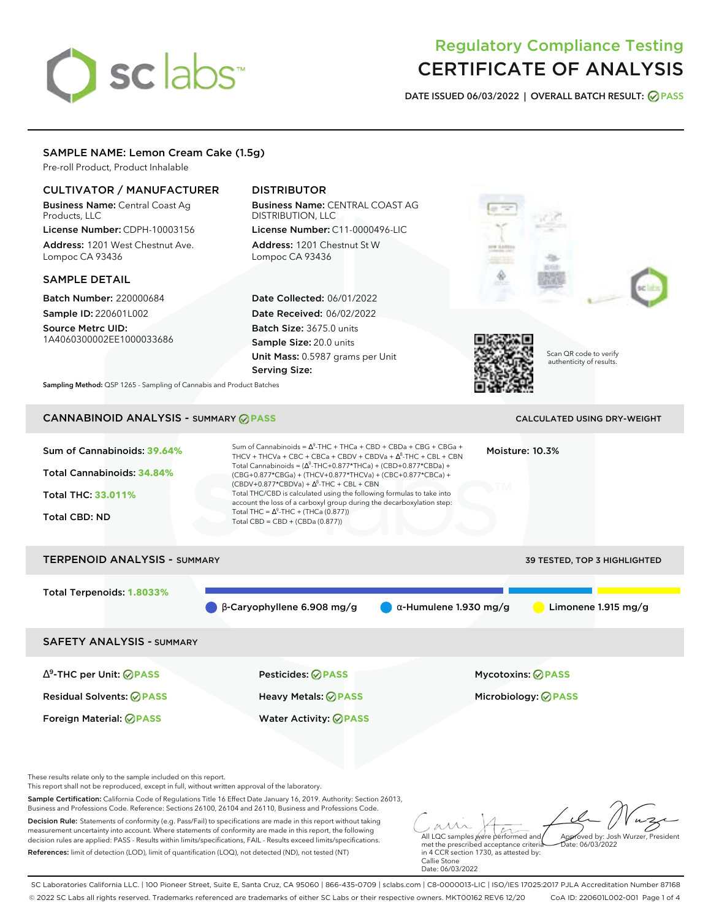# sclabs<sup>\*</sup>

# Regulatory Compliance Testing CERTIFICATE OF ANALYSIS

**DATE ISSUED 06/03/2022 | OVERALL BATCH RESULT: PASS**

# SAMPLE NAME: Lemon Cream Cake (1.5g)

Pre-roll Product, Product Inhalable

# CULTIVATOR / MANUFACTURER

Business Name: Central Coast Ag Products, LLC

License Number: CDPH-10003156 Address: 1201 West Chestnut Ave. Lompoc CA 93436

# SAMPLE DETAIL

Batch Number: 220000684 Sample ID: 220601L002

Source Metrc UID: 1A4060300002EE1000033686

# DISTRIBUTOR

Business Name: CENTRAL COAST AG DISTRIBUTION, LLC License Number: C11-0000496-LIC

Address: 1201 Chestnut St W Lompoc CA 93436

Date Collected: 06/01/2022 Date Received: 06/02/2022 Batch Size: 3675.0 units Sample Size: 20.0 units Unit Mass: 0.5987 grams per Unit Serving Size:





Scan QR code to verify authenticity of results.

**Sampling Method:** QSP 1265 - Sampling of Cannabis and Product Batches

# CANNABINOID ANALYSIS - SUMMARY **PASS** CALCULATED USING DRY-WEIGHT

| Sum of Cannabinoids: 39.64%<br>Total Cannabinoids: 34.84%<br><b>Total THC: 33,011%</b><br><b>Total CBD: ND</b> | Sum of Cannabinoids = $\Lambda^9$ -THC + THCa + CBD + CBDa + CBG + CBGa +<br>THCV + THCVa + CBC + CBCa + CBDV + CBDVa + $\Delta^8$ -THC + CBL + CBN<br>Total Cannabinoids = $(\Delta^9$ -THC+0.877*THCa) + (CBD+0.877*CBDa) +<br>(CBG+0.877*CBGa) + (THCV+0.877*THCVa) + (CBC+0.877*CBCa) +<br>$(CBDV+0.877*CBDVa) + \Delta^8$ -THC + CBL + CBN<br>Total THC/CBD is calculated using the following formulas to take into<br>account the loss of a carboxyl group during the decarboxylation step:<br>Total THC = $\Delta^9$ -THC + (THCa (0.877))<br>Total CBD = CBD + (CBDa (0.877)) |                               | Moisture: 10.3%                                        |
|----------------------------------------------------------------------------------------------------------------|---------------------------------------------------------------------------------------------------------------------------------------------------------------------------------------------------------------------------------------------------------------------------------------------------------------------------------------------------------------------------------------------------------------------------------------------------------------------------------------------------------------------------------------------------------------------------------------|-------------------------------|--------------------------------------------------------|
| <b>TERPENOID ANALYSIS - SUMMARY</b>                                                                            |                                                                                                                                                                                                                                                                                                                                                                                                                                                                                                                                                                                       |                               | 39 TESTED, TOP 3 HIGHLIGHTED                           |
| Total Terpenoids: 1.8033%                                                                                      | $\beta$ -Caryophyllene 6.908 mg/g                                                                                                                                                                                                                                                                                                                                                                                                                                                                                                                                                     | $\alpha$ -Humulene 1.930 mg/g | Limonene 1.915 mg/g                                    |
| <b>SAFETY ANALYSIS - SUMMARY</b>                                                                               |                                                                                                                                                                                                                                                                                                                                                                                                                                                                                                                                                                                       |                               |                                                        |
| $\Delta^9$ -THC per Unit: $\oslash$ PASS<br><b>Residual Solvents: ⊘PASS</b>                                    | Pesticides: ⊘PASS<br>Heavy Metals: @PASS                                                                                                                                                                                                                                                                                                                                                                                                                                                                                                                                              |                               | <b>Mycotoxins: ⊘PASS</b><br>Microbiology: <b>⊘PASS</b> |

Foreign Material: **PASS** Water Activity: **PASS**

These results relate only to the sample included on this report.

This report shall not be reproduced, except in full, without written approval of the laboratory.

Sample Certification: California Code of Regulations Title 16 Effect Date January 16, 2019. Authority: Section 26013, Business and Professions Code. Reference: Sections 26100, 26104 and 26110, Business and Professions Code.

Decision Rule: Statements of conformity (e.g. Pass/Fail) to specifications are made in this report without taking measurement uncertainty into account. Where statements of conformity are made in this report, the following decision rules are applied: PASS - Results within limits/specifications, FAIL - Results exceed limits/specifications. References: limit of detection (LOD), limit of quantification (LOQ), not detected (ND), not tested (NT)

All LQC samples were performed and met the prescribed acceptance criteria Approved by: Josh Wurzer, President Date: 06/03/2022

in 4 CCR section 1730, as attested by: Callie Stone Date: 06/03/2022

SC Laboratories California LLC. | 100 Pioneer Street, Suite E, Santa Cruz, CA 95060 | 866-435-0709 | sclabs.com | C8-0000013-LIC | ISO/IES 17025:2017 PJLA Accreditation Number 87168 © 2022 SC Labs all rights reserved. Trademarks referenced are trademarks of either SC Labs or their respective owners. MKT00162 REV6 12/20 CoA ID: 220601L002-001 Page 1 of 4